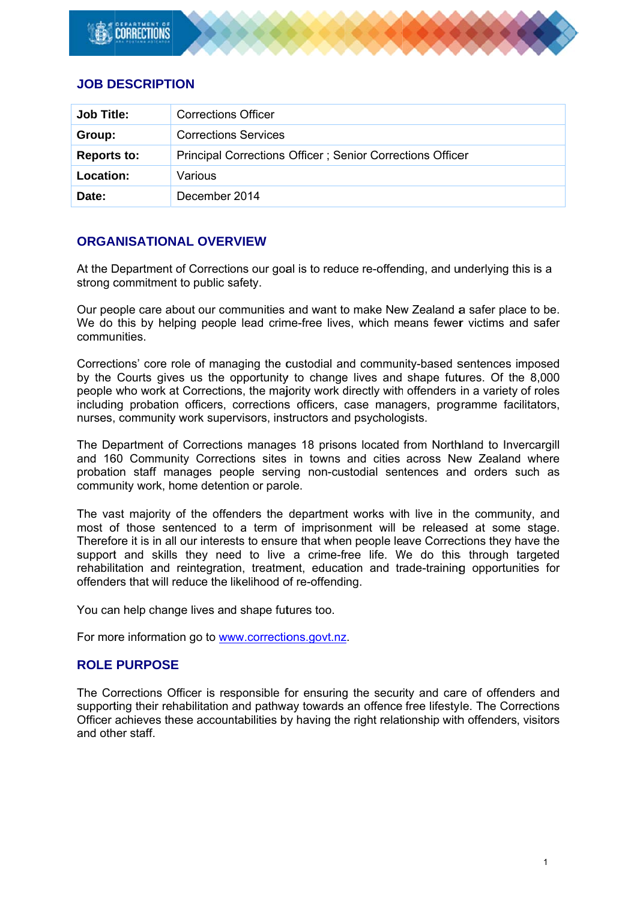# **JOB DESCRIPTION**

| <b>Job Title:</b>  | <b>Corrections Officer</b>                                |
|--------------------|-----------------------------------------------------------|
| Group:             | <b>Corrections Services</b>                               |
| <b>Reports to:</b> | Principal Corrections Officer; Senior Corrections Officer |
| Location:          | Various                                                   |
| Date:              | December 2014                                             |

## **ORGANISATIONAL OVERVIEW**

At the Department of Corrections our goal is to reduce re-offending, and underlying this is a strong commitment to public safety.

Our people care about our communities and want to make New Zealand a safer place to be. We do this by helping people lead crime-free lives, which means fewer victims and safer communities

Corrections' core role of managing the custodial and community-based sentences imposed by the Courts gives us the opportunity to change lives and shape futures. Of the 8,000 people who work at Corrections, the majority work directly with offenders in a variety of roles including probation officers, corrections officers, case managers, programme facilitators, nurses, community work supervisors, instructors and psychologists.

The Department of Corrections manages 18 prisons located from Northland to Invercargill and 160 Community Corrections sites in towns and cities across New Zealand where probation staff manages people serving non-custodial sentences and orders such as community work, home detention or parole.

The vast majority of the offenders the department works with live in the community, and most of those sentenced to a term of imprisonment will be released at some stage. Therefore it is in all our interests to ensure that when people leave Corrections they have the support and skills they need to live a crime-free life. We do this through targeted rehabilitation and reintegration, treatment, education and trade-training opportunities for offenders that will reduce the likelihood of re-offending.

You can help change lives and shape futures too.

For more information go to www.corrections.govt.nz.

## **ROLE PURPOSE**

The Corrections Officer is responsible for ensuring the security and care of offenders and supporting their rehabilitation and pathway towards an offence free lifestyle. The Corrections Officer achieves these accountabilities by having the right relationship with offenders, visitors and other staff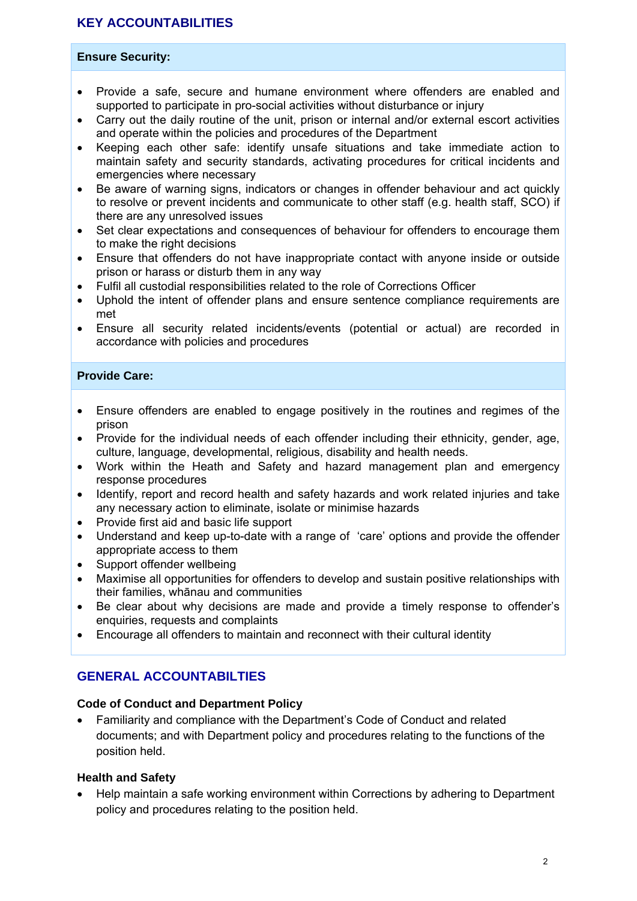# **KEY ACCOUNTABILITIES**

#### **Ensure Security:**

- Provide a safe, secure and humane environment where offenders are enabled and supported to participate in pro-social activities without disturbance or injury
- Carry out the daily routine of the unit, prison or internal and/or external escort activities and operate within the policies and procedures of the Department
- Keeping each other safe: identify unsafe situations and take immediate action to maintain safety and security standards, activating procedures for critical incidents and emergencies where necessary
- Be aware of warning signs, indicators or changes in offender behaviour and act quickly to resolve or prevent incidents and communicate to other staff (e.g. health staff, SCO) if there are any unresolved issues
- Set clear expectations and consequences of behaviour for offenders to encourage them to make the right decisions
- Ensure that offenders do not have inappropriate contact with anyone inside or outside prison or harass or disturb them in any way
- Fulfil all custodial responsibilities related to the role of Corrections Officer
- Uphold the intent of offender plans and ensure sentence compliance requirements are met
- Ensure all security related incidents/events (potential or actual) are recorded in accordance with policies and procedures

#### **Provide Care:**

- Ensure offenders are enabled to engage positively in the routines and regimes of the prison
- Provide for the individual needs of each offender including their ethnicity, gender, age, culture, language, developmental, religious, disability and health needs.
- Work within the Heath and Safety and hazard management plan and emergency response procedures
- Identify, report and record health and safety hazards and work related injuries and take any necessary action to eliminate, isolate or minimise hazards
- Provide first aid and basic life support
- Understand and keep up-to-date with a range of 'care' options and provide the offender appropriate access to them
- Support offender wellbeing
- Maximise all opportunities for offenders to develop and sustain positive relationships with their families, whānau and communities
- Be clear about why decisions are made and provide a timely response to offender's enquiries, requests and complaints
- Encourage all offenders to maintain and reconnect with their cultural identity

# **GENERAL ACCOUNTABILTIES**

#### **Code of Conduct and Department Policy**

 Familiarity and compliance with the Department's Code of Conduct and related documents; and with Department policy and procedures relating to the functions of the position held.

### **Health and Safety**

 Help maintain a safe working environment within Corrections by adhering to Department policy and procedures relating to the position held.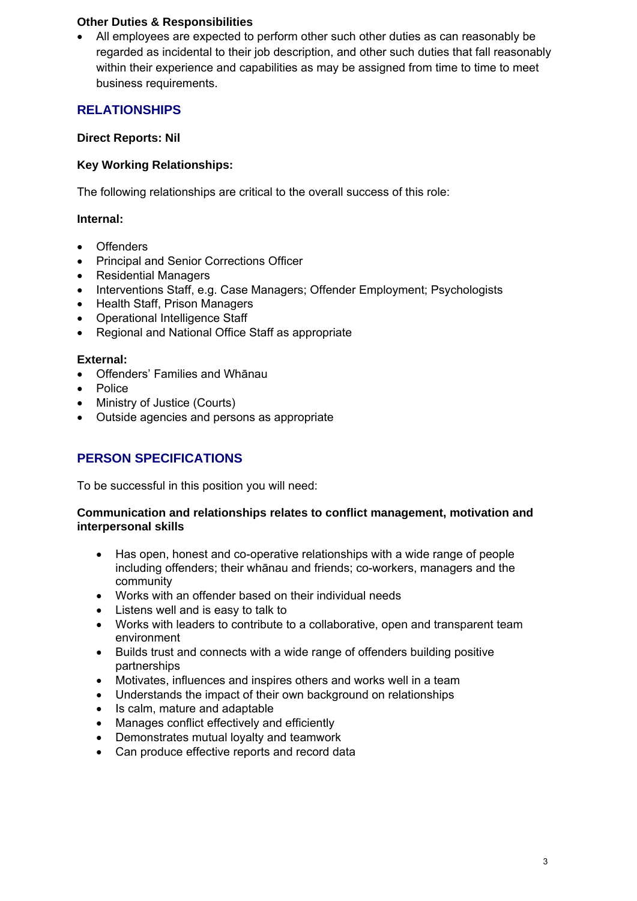### **Other Duties & Responsibilities**

 All employees are expected to perform other such other duties as can reasonably be regarded as incidental to their job description, and other such duties that fall reasonably within their experience and capabilities as may be assigned from time to time to meet business requirements.

# **RELATIONSHIPS**

## **Direct Reports: Nil**

## **Key Working Relationships:**

The following relationships are critical to the overall success of this role:

## **Internal:**

- Offenders
- Principal and Senior Corrections Officer
- Residential Managers
- Interventions Staff, e.g. Case Managers; Offender Employment; Psychologists
- Health Staff, Prison Managers
- Operational Intelligence Staff
- Regional and National Office Staff as appropriate

### **External:**

- Offenders' Families and Whānau
- Police
- Ministry of Justice (Courts)
- Outside agencies and persons as appropriate

# **PERSON SPECIFICATIONS**

To be successful in this position you will need:

#### **Communication and relationships relates to conflict management, motivation and interpersonal skills**

- Has open, honest and co-operative relationships with a wide range of people including offenders; their whānau and friends; co-workers, managers and the community
- Works with an offender based on their individual needs
- Listens well and is easy to talk to
- Works with leaders to contribute to a collaborative, open and transparent team environment
- Builds trust and connects with a wide range of offenders building positive partnerships
- Motivates, influences and inspires others and works well in a team
- Understands the impact of their own background on relationships
- Is calm, mature and adaptable
- Manages conflict effectively and efficiently
- Demonstrates mutual loyalty and teamwork
- Can produce effective reports and record data